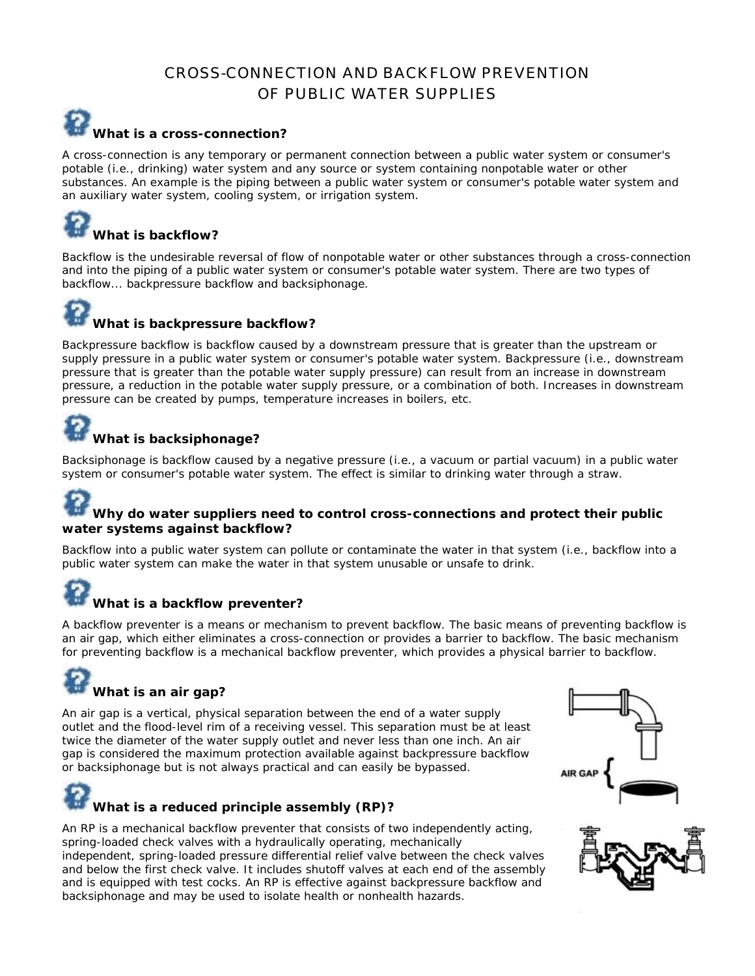### CROSS-CONNECTION AND BACKFLOW PREVENTION OF PUBLIC WATER SUPPLIES

### **What is a cross-connection?**

A cross-connection is any temporary or permanent connection between a public water system or consumer's potable (i.e., drinking) water system and any source or system containing nonpotable water or other substances. An example is the piping between a public water system or consumer's potable water system and an auxiliary water system, cooling system, or irrigation system.

# **What is backflow?**

Backflow is the undesirable reversal of flow of nonpotable water or other substances through a cross-connection and into the piping of a public water system or consumer's potable water system. There are two types of backflow... backpressure backflow and backsiphonage.

# **What is backpressure backflow?**

Backpressure backflow is backflow caused by a downstream pressure that is greater than the upstream or supply pressure in a public water system or consumer's potable water system. Backpressure (i.e., downstream pressure that is greater than the potable water supply pressure) can result from an increase in downstream pressure, a reduction in the potable water supply pressure, or a combination of both. Increases in downstream pressure can be created by pumps, temperature increases in boilers, etc.

## **What is backsiphonage?**

Backsiphonage is backflow caused by a negative pressure (i.e., a vacuum or partial vacuum) in a public water system or consumer's potable water system. The effect is similar to drinking water through a straw.

#### **Why do water suppliers need to control cross-connections and protect their public water systems against backflow?**

Backflow into a public water system can pollute or contaminate the water in that system (i.e., backflow into a public water system can make the water in that system unusable or unsafe to drink.

### **What is a backflow preventer?**

A backflow preventer is a means or mechanism to prevent backflow. The basic means of preventing backflow is an air gap, which either eliminates a cross-connection or provides a barrier to backflow. The basic mechanism for preventing backflow is a mechanical backflow preventer, which provides a physical barrier to backflow.

## **What is an air gap?**

An air gap is a vertical, physical separation between the end of a water supply outlet and the flood-level rim of a receiving vessel. This separation must be at least twice the diameter of the water supply outlet and never less than one inch. An air gap is considered the maximum protection available against backpressure backflow or backsiphonage but is not always practical and can easily be bypassed.



An RP is a mechanical backflow preventer that consists of two independently acting, spring-loaded check valves with a hydraulically operating, mechanically independent, spring-loaded pressure differential relief valve between the check valves and below the first check valve. It includes shutoff valves at each end of the assembly and is equipped with test cocks. An RP is effective against backpressure backflow and backsiphonage and may be used to isolate health or nonhealth hazards.